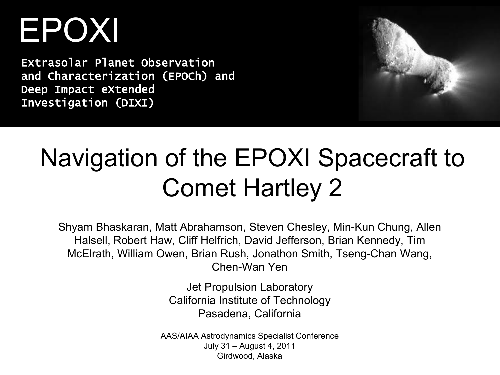## EPOXI

Extrasolar Planet Observation and Characterization (EPOCh) and Deep Impact eXtended Investigation (DIXI)



#### Navigation of the EPOXI Spacecraft to Comet Hartley 2

Shyam Bhaskaran, Matt Abrahamson, Steven Chesley, Min-Kun Chung, Allen Halsell, Robert Haw, Cliff Helfrich, David Jefferson, Brian Kennedy, Tim McElrath, William Owen, Brian Rush, Jonathon Smith, Tseng-Chan Wang, Chen-Wan Yen

> Jet Propulsion Laboratory California Institute of Technology Pasadena, California

AAS/AIAA Astrodynamics Specialist Conference July 31 – August 4, 2011 Girdwood, Alaska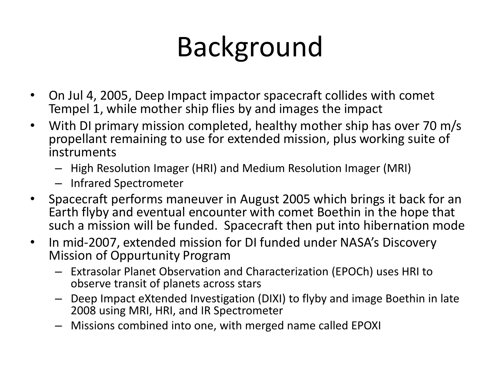### Background

- On Jul 4, 2005, Deep Impact impactor spacecraft collides with comet Tempel 1, while mother ship flies by and images the impact
- With DI primary mission completed, healthy mother ship has over 70 m/s propellant remaining to use for extended mission, plus working suite of instruments
	- High Resolution Imager (HRI) and Medium Resolution Imager (MRI)
	- Infrared Spectrometer
- Spacecraft performs maneuver in August 2005 which brings it back for an Earth flyby and eventual encounter with comet Boethin in the hope that such a mission will be funded. Spacecraft then put into hibernation mode
- In mid-2007, extended mission for DI funded under NASA's Discovery Mission of Oppurtunity Program
	- Extrasolar Planet Observation and Characterization (EPOCh) uses HRI to observe transit of planets across stars
	- Deep Impact eXtended Investigation (DIXI) to flyby and image Boethin in late 2008 using MRI, HRI, and IR Spectrometer
	- Missions combined into one, with merged name called EPOXI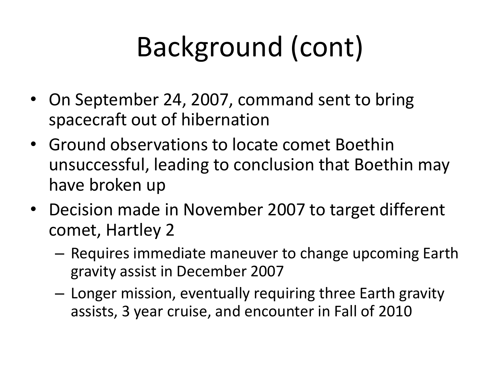## Background (cont)

- On September 24, 2007, command sent to bring spacecraft out of hibernation
- Ground observations to locate comet Boethin unsuccessful, leading to conclusion that Boethin may have broken up
- Decision made in November 2007 to target different comet, Hartley 2
	- Requires immediate maneuver to change upcoming Earth gravity assist in December 2007
	- Longer mission, eventually requiring three Earth gravity assists, 3 year cruise, and encounter in Fall of 2010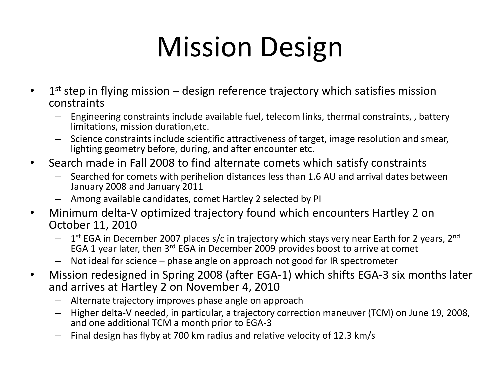### Mission Design

- 1<sup>st</sup> step in flying mission design reference trajectory which satisfies mission constraints
	- Engineering constraints include available fuel, telecom links, thermal constraints, , battery limitations, mission duration,etc.
	- Science constraints include scientific attractiveness of target, image resolution and smear, lighting geometry before, during, and after encounter etc.
- Search made in Fall 2008 to find alternate comets which satisfy constraints
	- Searched for comets with perihelion distances less than 1.6 AU and arrival dates between January 2008 and January 2011
	- Among available candidates, comet Hartley 2 selected by PI
- Minimum delta-V optimized trajectory found which encounters Hartley 2 on October 11, 2010
	- $1<sup>st</sup>$  EGA in December 2007 places s/c in trajectory which stays very near Earth for 2 years,  $2<sup>nd</sup>$ EGA 1 year later, then 3rd EGA in December 2009 provides boost to arrive at comet
	- Not ideal for science phase angle on approach not good for IR spectrometer
- Mission redesigned in Spring 2008 (after EGA-1) which shifts EGA-3 six months later and arrives at Hartley 2 on November 4, 2010
	- Alternate trajectory improves phase angle on approach
	- Higher delta-V needed, in particular, a trajectory correction maneuver (TCM) on June 19, 2008, and one additional TCM a month prior to EGA-3
	- Final design has flyby at 700 km radius and relative velocity of 12.3 km/s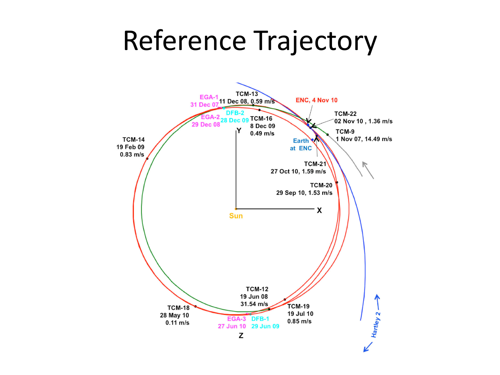#### Reference Trajectory

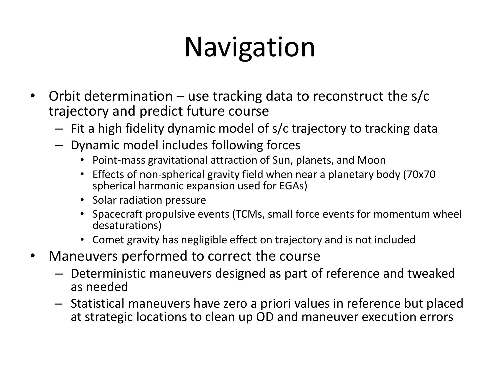### Navigation

- Orbit determination use tracking data to reconstruct the s/c trajectory and predict future course
	- Fit a high fidelity dynamic model of s/c trajectory to tracking data
	- Dynamic model includes following forces
		- Point-mass gravitational attraction of Sun, planets, and Moon
		- Effects of non-spherical gravity field when near a planetary body (70x70 spherical harmonic expansion used for EGAs)
		- Solar radiation pressure
		- Spacecraft propulsive events (TCMs, small force events for momentum wheel desaturations)
		- Comet gravity has negligible effect on trajectory and is not included
- Maneuvers performed to correct the course
	- Deterministic maneuvers designed as part of reference and tweaked as needed
	- Statistical maneuvers have zero a priori values in reference but placed at strategic locations to clean up OD and maneuver execution errors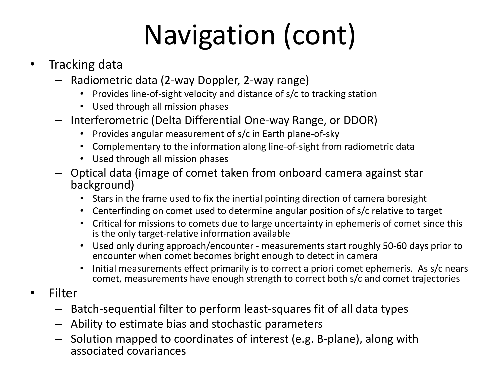## Navigation (cont)

- Tracking data
	- Radiometric data (2-way Doppler, 2-way range)
		- Provides line-of-sight velocity and distance of s/c to tracking station
		- Used through all mission phases
	- Interferometric (Delta Differential One-way Range, or DDOR)
		- Provides angular measurement of s/c in Earth plane-of-sky
		- Complementary to the information along line-of-sight from radiometric data
		- Used through all mission phases
	- Optical data (image of comet taken from onboard camera against star background)
		- Stars in the frame used to fix the inertial pointing direction of camera boresight
		- Centerfinding on comet used to determine angular position of s/c relative to target
		- Critical for missions to comets due to large uncertainty in ephemeris of comet since this is the only target-relative information available
		- Used only during approach/encounter measurements start roughly 50-60 days prior to encounter when comet becomes bright enough to detect in camera
		- Initial measurements effect primarily is to correct a priori comet ephemeris. As s/c nears comet, measurements have enough strength to correct both s/c and comet trajectories
- Filter
	- Batch-sequential filter to perform least-squares fit of all data types
	- Ability to estimate bias and stochastic parameters
	- Solution mapped to coordinates of interest (e.g. B-plane), along with associated covariances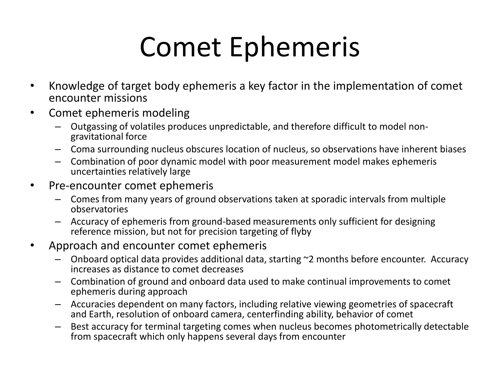#### Comet Ephemeris

- Knowledge of target body ephemeris a key factor in the implementation of comet encounter missions
- Comet ephemeris modeling
	- Outgassing of volatiles produces unpredictable, and therefore difficult to model non- gravitational force
	- Coma surrounding nucleus obscures location of nucleus, so observations have inherent biases
	- Combination of poor dynamic model with poor measurement model makes ephemeris uncertainties relatively large
- Pre-encounter comet ephemeris
	- Comes from many years of ground observations taken at sporadic intervals from multiple observatories
	- Accuracy of ephemeris from ground-based measurements only sufficient for designing reference mission, but not for precision targeting of flyby
- Approach and encounter comet ephemeris
	- Onboard optical data provides additional data, starting ~2 months before encounter. Accuracy increases as distance to comet decreases
	- Combination of ground and onboard data used to make continual improvements to comet ephemeris during approach
	- Accuracies dependent on many factors, including relative viewing geometries of spacecraft and Earth, resolution of onboard camera, centerfinding ability, behavior of comet
	- Best accuracy for terminal targeting comes when nucleus becomes photometrically detectable from spacecraft which only happens several days from encounter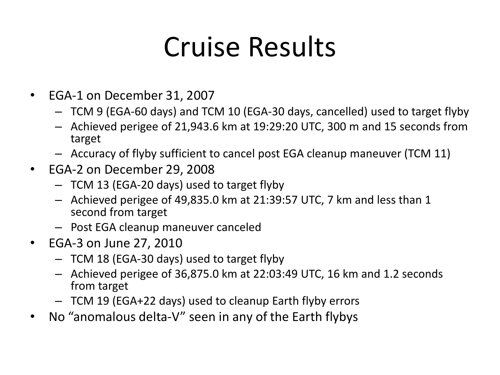#### Cruise Results

- EGA-1 on December 31, 2007
	- TCM 9 (EGA-60 days) and TCM 10 (EGA-30 days, cancelled) used to target flyby
	- Achieved perigee of 21,943.6 km at 19:29:20 UTC, 300 m and 15 seconds from target
	- Accuracy of flyby sufficient to cancel post EGA cleanup maneuver (TCM 11)
- EGA-2 on December 29, 2008
	- TCM 13 (EGA-20 days) used to target flyby
	- Achieved perigee of 49,835.0 km at 21:39:57 UTC, 7 km and less than 1 second from target
	- Post EGA cleanup maneuver canceled
- EGA-3 on June 27, 2010
	- TCM 18 (EGA-30 days) used to target flyby
	- Achieved perigee of 36,875.0 km at 22:03:49 UTC, 16 km and 1.2 seconds from target
	- TCM 19 (EGA+22 days) used to cleanup Earth flyby errors
- No "anomalous delta-V" seen in any of the Earth flybys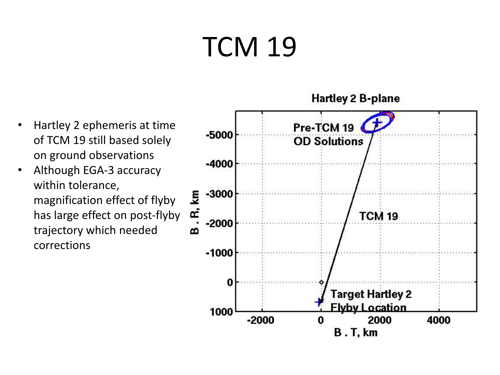### TCM 19

- Hartley 2 ephemeris at time of TCM 19 still based solely on ground observations
- Although EGA-3 accuracy within tolerance, magnification effect of flyby has large effect on post-flyby trajectory which needed corrections

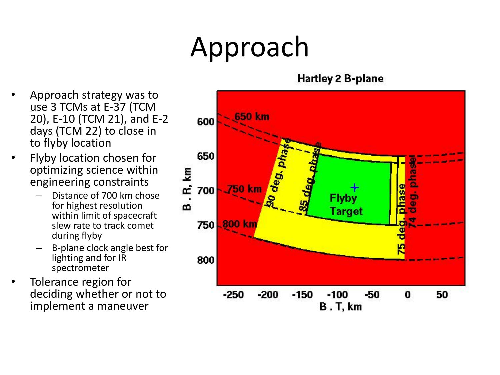### Approach

**Hartley 2 B-plane** 



- Flyby location chosen for optimizing science within engineering constraints
	- Distance of 700 km chose for highest resolution within limit of spacecraft slew rate to track comet during flyby
	- B-plane clock angle best for lighting and for IR spectrometer
- Tolerance region for deciding whether or not to implement a maneuver

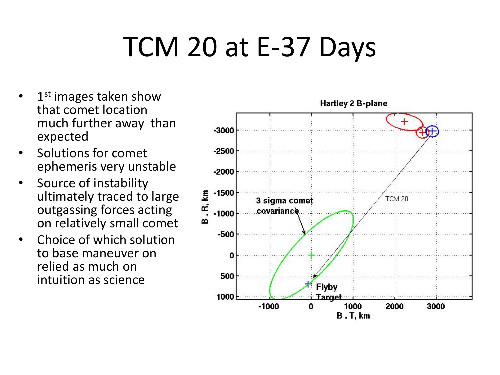### TCM 20 at E-37 Days

- $1<sup>st</sup>$  images taken show that comet location much further away than expected
- Solutions for comet ephemeris very unstable
- Source of instability ultimately traced to large outgassing forces acting on relatively small comet
- Choice of which solution to base maneuver on relied as much on intuition as science

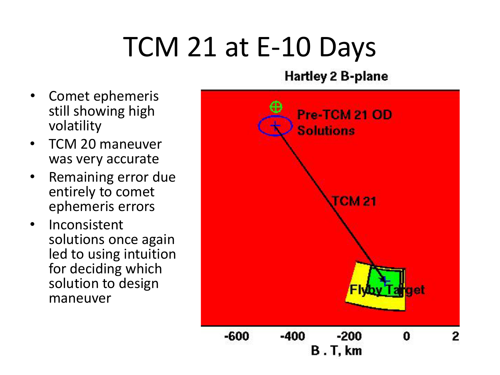### TCM 21 at E-10 Days

Hartley 2 B-plane

- Comet ephemeris still showing high volatility
- TCM 20 maneuver was very accurate
- Remaining error due entirely to comet ephemeris errors
- Inconsistent solutions once again led to using intuition for deciding which solution to design maneuver

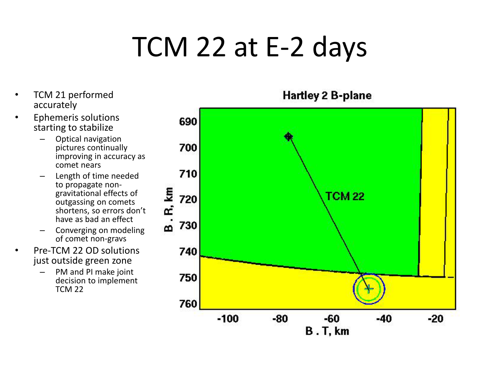#### TCM 22 at E-2 days

- TCM 21 performed accurately
- Ephemeris solutions starting to stabilize
	- Optical navigation pictures continually improving in accuracy as comet nears
	- Length of time needed to propagate non- gravitational effects of outgassing on comets shortens, so errors don't have as bad an effect
	- Converging on modeling of comet non-gravs
- Pre-TCM 22 OD solutions just outside green zone
	- PM and PI make joint decision to implement TCM 22

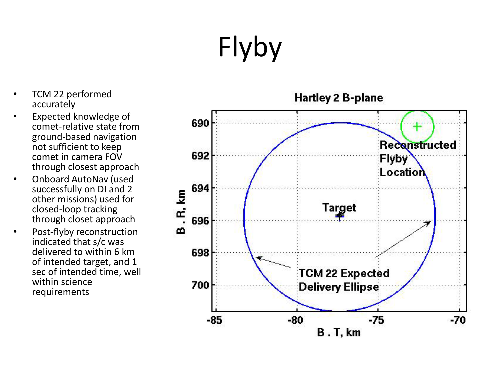# Flyby

- TCM 22 performed accurately
- Expected knowledge of come t -relative state from ground -based navigation not sufficient to keep comet in camera FOV through closest approach
- Onboard AutoNav (used successfully on DI and 2 other missions) used for closed -loop tracking through closet approach
- Post -flyby reconstruction indicated that s/c was delivered to within 6 km of intended target, and 1 sec of intended time, well within science requirements